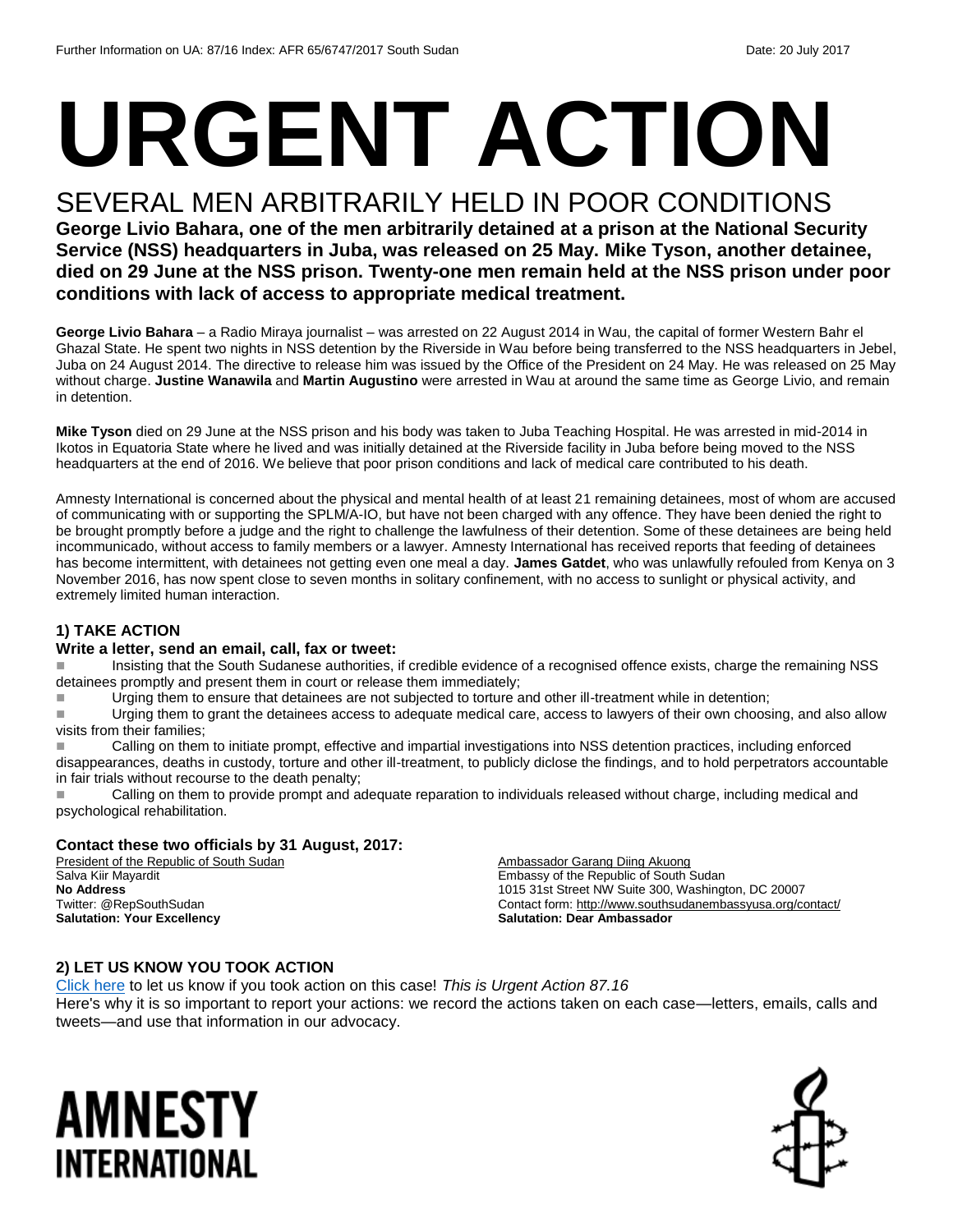# **URGENT ACTION**

### SEVERAL MEN ARBITRARILY HELD IN POOR CONDITIONS

**George Livio Bahara, one of the men arbitrarily detained at a prison at the National Security Service (NSS) headquarters in Juba, was released on 25 May. Mike Tyson, another detainee, died on 29 June at the NSS prison. Twenty-one men remain held at the NSS prison under poor conditions with lack of access to appropriate medical treatment.**

**George Livio Bahara** – a Radio Miraya journalist – was arrested on 22 August 2014 in Wau, the capital of former Western Bahr el Ghazal State. He spent two nights in NSS detention by the Riverside in Wau before being transferred to the NSS headquarters in Jebel, Juba on 24 August 2014. The directive to release him was issued by the Office of the President on 24 May. He was released on 25 May without charge. **Justine Wanawila** and **Martin Augustino** were arrested in Wau at around the same time as George Livio, and remain in detention.

**Mike Tyson** died on 29 June at the NSS prison and his body was taken to Juba Teaching Hospital. He was arrested in mid-2014 in Ikotos in Equatoria State where he lived and was initially detained at the Riverside facility in Juba before being moved to the NSS headquarters at the end of 2016. We believe that poor prison conditions and lack of medical care contributed to his death.

Amnesty International is concerned about the physical and mental health of at least 21 remaining detainees, most of whom are accused of communicating with or supporting the SPLM/A-IO, but have not been charged with any offence. They have been denied the right to be brought promptly before a judge and the right to challenge the lawfulness of their detention. Some of these detainees are being held incommunicado, without access to family members or a lawyer. Amnesty International has received reports that feeding of detainees has become intermittent, with detainees not getting even one meal a day. **James Gatdet**, who was unlawfully refouled from Kenya on 3 November 2016, has now spent close to seven months in solitary confinement, with no access to sunlight or physical activity, and extremely limited human interaction.

#### **1) TAKE ACTION**

#### **Write a letter, send an email, call, fax or tweet:**

 Insisting that the South Sudanese authorities, if credible evidence of a recognised offence exists, charge the remaining NSS detainees promptly and present them in court or release them immediately;

Urging them to ensure that detainees are not subjected to torture and other ill-treatment while in detention;

Urging them to grant the detainees access to adequate medical care, access to lawyers of their own choosing, and also allow visits from their families;

 Calling on them to initiate prompt, effective and impartial investigations into NSS detention practices, including enforced disappearances, deaths in custody, torture and other ill-treatment, to publicly diclose the findings, and to hold perpetrators accountable in fair trials without recourse to the death penalty;

Calling on them to provide prompt and adequate reparation to individuals released without charge, including medical and psychological rehabilitation.

#### **Contact these two officials by 31 August, 2017:**

President of the Republic of South Sudan Salva Kiir Mayardit **No Address** Twitter: @RepSouthSudan **Salutation: Your Excellency**

Ambassador Garang Diing Akuong Embassy of the Republic of South Sudan 1015 31st Street NW Suite 300, Washington, DC 20007 Contact form[: http://www.southsudanembassyusa.org/contact/](http://www.southsudanembassyusa.org/contact/) **Salutation: Dear Ambassador**

#### **2) LET US KNOW YOU TOOK ACTION**

[Click here](https://docs.google.com/forms/d/e/1FAIpQLSf3RUspces4lA9Gt7Fp9GiAcojCs6fnfFOTCLli3Su6c3S8ew/viewform) to let us know if you took action on this case! *This is Urgent Action 87.16* Here's why it is so important to report your actions: we record the actions taken on each case—letters, emails, calls and tweets—and use that information in our advocacy.

## AMNESTY INTERNATIONAL